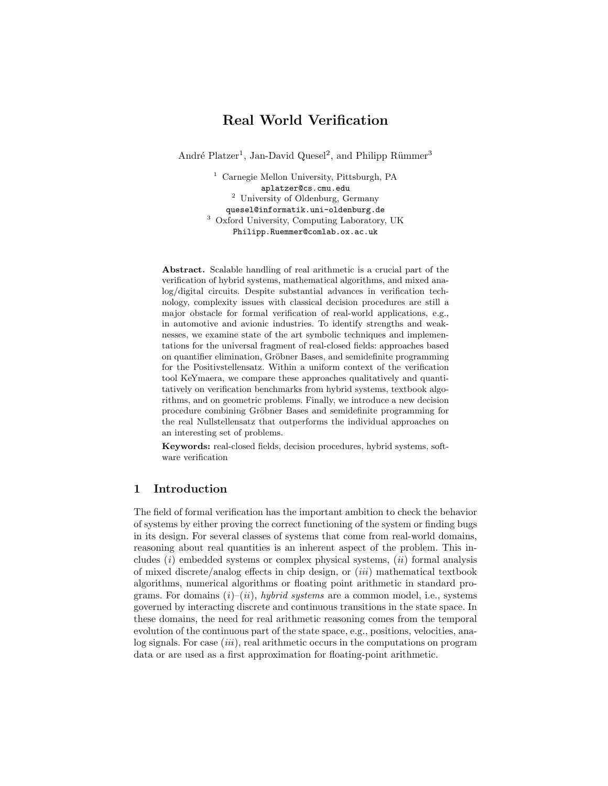# Real World Verification

André Platzer<sup>1</sup>, Jan-David Quesel<sup>2</sup>, and Philipp Rümmer<sup>3</sup>

<sup>1</sup> Carnegie Mellon University, Pittsburgh, PA aplatzer@cs.cmu.edu <sup>2</sup> University of Oldenburg, Germany quesel@informatik.uni-oldenburg.de <sup>3</sup> Oxford University, Computing Laboratory, UK Philipp.Ruemmer@comlab.ox.ac.uk

Abstract. Scalable handling of real arithmetic is a crucial part of the verification of hybrid systems, mathematical algorithms, and mixed analog/digital circuits. Despite substantial advances in verification technology, complexity issues with classical decision procedures are still a major obstacle for formal verification of real-world applications, e.g., in automotive and avionic industries. To identify strengths and weaknesses, we examine state of the art symbolic techniques and implementations for the universal fragment of real-closed fields: approaches based on quantifier elimination, Gröbner Bases, and semidefinite programming for the Positivstellensatz. Within a uniform context of the verification tool KeYmaera, we compare these approaches qualitatively and quantitatively on verification benchmarks from hybrid systems, textbook algorithms, and on geometric problems. Finally, we introduce a new decision procedure combining Gröbner Bases and semidefinite programming for the real Nullstellensatz that outperforms the individual approaches on an interesting set of problems.

Keywords: real-closed fields, decision procedures, hybrid systems, software verification

## 1 Introduction

The field of formal verification has the important ambition to check the behavior of systems by either proving the correct functioning of the system or finding bugs in its design. For several classes of systems that come from real-world domains, reasoning about real quantities is an inherent aspect of the problem. This includes  $(i)$  embedded systems or complex physical systems,  $(ii)$  formal analysis of mixed discrete/analog effects in chip design, or (iii) mathematical textbook algorithms, numerical algorithms or floating point arithmetic in standard programs. For domains  $(i)$ – $(ii)$ , hybrid systems are a common model, i.e., systems governed by interacting discrete and continuous transitions in the state space. In these domains, the need for real arithmetic reasoning comes from the temporal evolution of the continuous part of the state space, e.g., positions, velocities, analog signals. For case *(iii)*, real arithmetic occurs in the computations on program data or are used as a first approximation for floating-point arithmetic.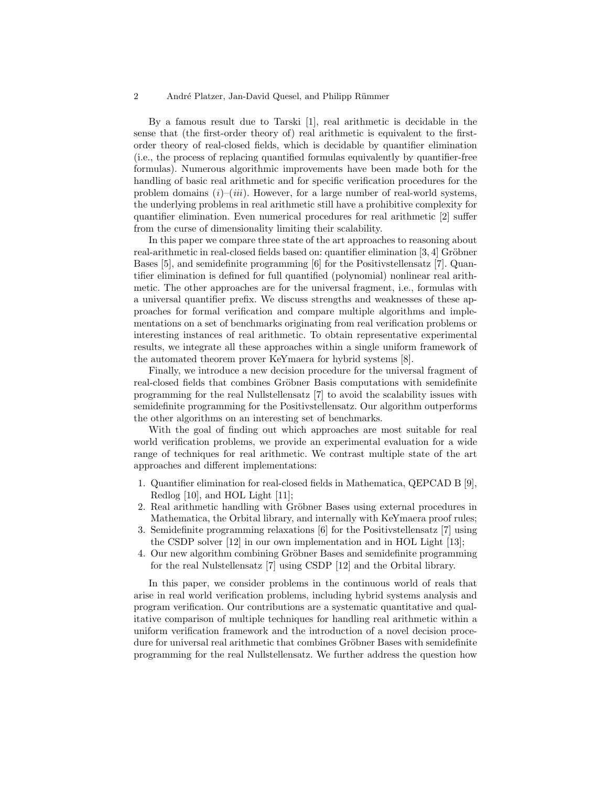By a famous result due to Tarski [1], real arithmetic is decidable in the sense that (the first-order theory of) real arithmetic is equivalent to the firstorder theory of real-closed fields, which is decidable by quantifier elimination (i.e., the process of replacing quantified formulas equivalently by quantifier-free formulas). Numerous algorithmic improvements have been made both for the handling of basic real arithmetic and for specific verification procedures for the problem domains  $(i)-(iii)$ . However, for a large number of real-world systems, the underlying problems in real arithmetic still have a prohibitive complexity for quantifier elimination. Even numerical procedures for real arithmetic [2] suffer from the curse of dimensionality limiting their scalability.

In this paper we compare three state of the art approaches to reasoning about real-arithmetic in real-closed fields based on: quantifier elimination  $[3, 4]$  Gröbner Bases [5], and semidefinite programming [6] for the Positivstellensatz [7]. Quantifier elimination is defined for full quantified (polynomial) nonlinear real arithmetic. The other approaches are for the universal fragment, i.e., formulas with a universal quantifier prefix. We discuss strengths and weaknesses of these approaches for formal verification and compare multiple algorithms and implementations on a set of benchmarks originating from real verification problems or interesting instances of real arithmetic. To obtain representative experimental results, we integrate all these approaches within a single uniform framework of the automated theorem prover KeYmaera for hybrid systems [8].

Finally, we introduce a new decision procedure for the universal fragment of real-closed fields that combines Gröbner Basis computations with semidefinite programming for the real Nullstellensatz [7] to avoid the scalability issues with semidefinite programming for the Positivstellensatz. Our algorithm outperforms the other algorithms on an interesting set of benchmarks.

With the goal of finding out which approaches are most suitable for real world verification problems, we provide an experimental evaluation for a wide range of techniques for real arithmetic. We contrast multiple state of the art approaches and different implementations:

- 1. Quantifier elimination for real-closed fields in Mathematica, QEPCAD B [9], Redlog [10], and HOL Light [11];
- 2. Real arithmetic handling with Gröbner Bases using external procedures in Mathematica, the Orbital library, and internally with KeYmaera proof rules;
- 3. Semidefinite programming relaxations [6] for the Positivstellensatz [7] using the CSDP solver [12] in our own implementation and in HOL Light [13];
- 4. Our new algorithm combining Gröbner Bases and semidefinite programming for the real Nulstellensatz [7] using CSDP [12] and the Orbital library.

In this paper, we consider problems in the continuous world of reals that arise in real world verification problems, including hybrid systems analysis and program verification. Our contributions are a systematic quantitative and qualitative comparison of multiple techniques for handling real arithmetic within a uniform verification framework and the introduction of a novel decision procedure for universal real arithmetic that combines Gröbner Bases with semidefinite programming for the real Nullstellensatz. We further address the question how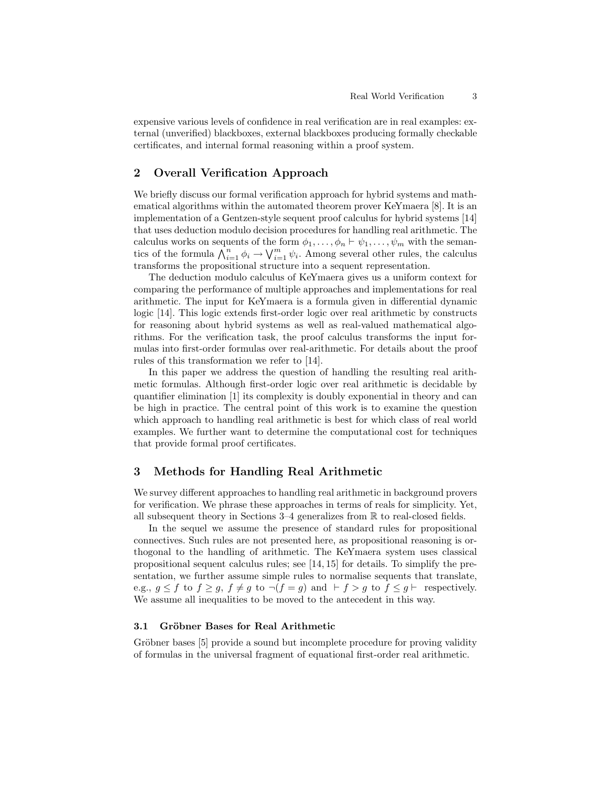expensive various levels of confidence in real verification are in real examples: external (unverified) blackboxes, external blackboxes producing formally checkable certificates, and internal formal reasoning within a proof system.

## 2 Overall Verification Approach

We briefly discuss our formal verification approach for hybrid systems and mathematical algorithms within the automated theorem prover KeYmaera [8]. It is an implementation of a Gentzen-style sequent proof calculus for hybrid systems [14] that uses deduction modulo decision procedures for handling real arithmetic. The calculus works on sequents of the form  $\phi_1, \ldots, \phi_n \vdash \psi_1, \ldots, \psi_m$  with the semantics of the formula  $\bigwedge_{i=1}^n \phi_i \to \bigvee_{i=1}^m \psi_i$ . Among several other rules, the calculus transforms the propositional structure into a sequent representation.

The deduction modulo calculus of KeYmaera gives us a uniform context for comparing the performance of multiple approaches and implementations for real arithmetic. The input for KeYmaera is a formula given in differential dynamic logic [14]. This logic extends first-order logic over real arithmetic by constructs for reasoning about hybrid systems as well as real-valued mathematical algorithms. For the verification task, the proof calculus transforms the input formulas into first-order formulas over real-arithmetic. For details about the proof rules of this transformation we refer to [14].

In this paper we address the question of handling the resulting real arithmetic formulas. Although first-order logic over real arithmetic is decidable by quantifier elimination [1] its complexity is doubly exponential in theory and can be high in practice. The central point of this work is to examine the question which approach to handling real arithmetic is best for which class of real world examples. We further want to determine the computational cost for techniques that provide formal proof certificates.

## 3 Methods for Handling Real Arithmetic

We survey different approaches to handling real arithmetic in background provers for verification. We phrase these approaches in terms of reals for simplicity. Yet, all subsequent theory in Sections 3–4 generalizes from R to real-closed fields.

In the sequel we assume the presence of standard rules for propositional connectives. Such rules are not presented here, as propositional reasoning is orthogonal to the handling of arithmetic. The KeYmaera system uses classical propositional sequent calculus rules; see [14, 15] for details. To simplify the presentation, we further assume simple rules to normalise sequents that translate, e.g.,  $g \le f$  to  $f \ge g$ ,  $f \ne g$  to  $\neg (f = g)$  and  $\nvdash f > g$  to  $f \le g \vdash$  respectively. We assume all inequalities to be moved to the antecedent in this way.

### 3.1 Gröbner Bases for Real Arithmetic

Gröbner bases [5] provide a sound but incomplete procedure for proving validity of formulas in the universal fragment of equational first-order real arithmetic.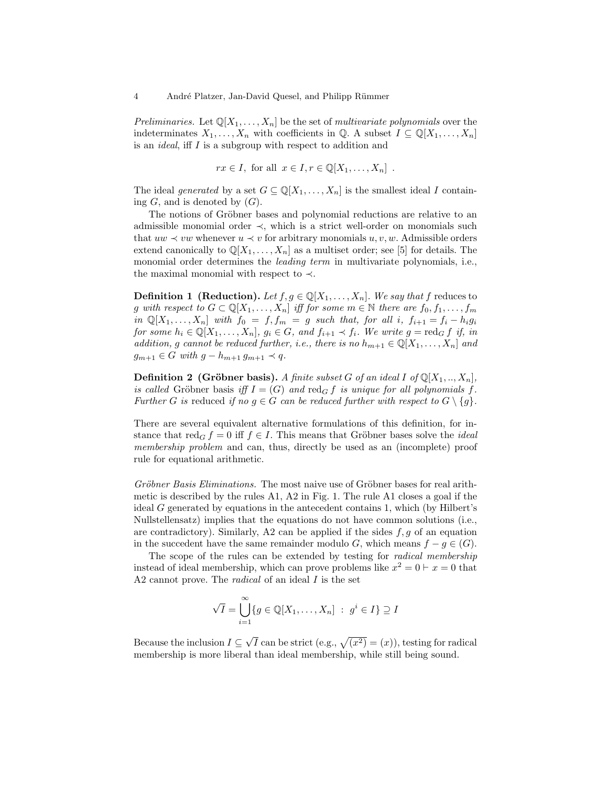Preliminaries. Let  $\mathbb{Q}[X_1,\ldots,X_n]$  be the set of multivariate polynomials over the indeterminates  $X_1, \ldots, X_n$  with coefficients in Q. A subset  $I \subseteq \mathbb{Q}[X_1, \ldots, X_n]$ is an ideal, iff I is a subgroup with respect to addition and

$$
rx \in I
$$
, for all  $x \in I, r \in \mathbb{Q}[X_1, \ldots, X_n]$ .

The ideal generated by a set  $G \subseteq \mathbb{Q}[X_1, \ldots, X_n]$  is the smallest ideal I containing  $G$ , and is denoted by  $(G)$ .

The notions of Gröbner bases and polynomial reductions are relative to an admissible monomial order ≺, which is a strict well-order on monomials such that  $uw \prec vw$  whenever  $u \prec v$  for arbitrary monomials  $u, v, w$ . Admissible orders extend canonically to  $\mathbb{Q}[X_1,\ldots,X_n]$  as a multiset order; see [5] for details. The monomial order determines the *leading term* in multivariate polynomials, i.e., the maximal monomial with respect to  $\prec$ .

**Definition 1** (Reduction). Let  $f, g \in \mathbb{Q}[X_1, \ldots, X_n]$ . We say that f reduces to g with respect to  $G \subset \mathbb{Q}[X_1,\ldots,X_n]$  iff for some  $m \in \mathbb{N}$  there are  $f_0, f_1, \ldots, f_m$ in  $\mathbb{Q}[X_1,\ldots,X_n]$  with  $f_0 = f, f_m = g$  such that, for all i,  $f_{i+1} = f_i - h_i g_i$ for some  $h_i \in \mathbb{Q}[X_1,\ldots,X_n]$ ,  $g_i \in G$ , and  $f_{i+1} \prec f_i$ . We write  $g = \text{red}_G f$  if, in addition, g cannot be reduced further, i.e., there is no  $h_{m+1} \in \mathbb{Q}[X_1, \ldots, X_n]$  and  $g_{m+1} \in G$  with  $g - h_{m+1} g_{m+1} \prec q$ .

**Definition 2 (Gröbner basis).** A finite subset G of an ideal I of  $\mathbb{Q}[X_1, ..., X_n]$ , is called Gröbner basis iff  $I = (G)$  and red<sub>G</sub> f is unique for all polynomials f. Further G is reduced if no  $g \in G$  can be reduced further with respect to  $G \setminus \{g\}$ .

There are several equivalent alternative formulations of this definition, for instance that  $\text{red}_G f = 0$  iff  $f \in I$ . This means that Gröbner bases solve the *ideal* membership problem and can, thus, directly be used as an (incomplete) proof rule for equational arithmetic.

Gröbner Basis Eliminations. The most naive use of Gröbner bases for real arithmetic is described by the rules A1, A2 in Fig. 1. The rule A1 closes a goal if the ideal G generated by equations in the antecedent contains 1, which (by Hilbert's Nullstellensatz) implies that the equations do not have common solutions (i.e., are contradictory). Similarly, A2 can be applied if the sides  $f, g$  of an equation in the succedent have the same remainder modulo G, which means  $f - g \in (G)$ .

The scope of the rules can be extended by testing for radical membership instead of ideal membership, which can prove problems like  $x^2 = 0 \vdash x = 0$  that A2 cannot prove. The *radical* of an ideal I is the set

$$
\sqrt{I} = \bigcup_{i=1}^{\infty} \{ g \in \mathbb{Q}[X_1, \dots, X_n] : g^i \in I \} \supseteq I
$$

Because the inclusion  $I \subseteq$  $\sqrt{I}$  can be strict (e.g.,  $\sqrt{x^2} = (x)$ ), testing for radical membership is more liberal than ideal membership, while still being sound.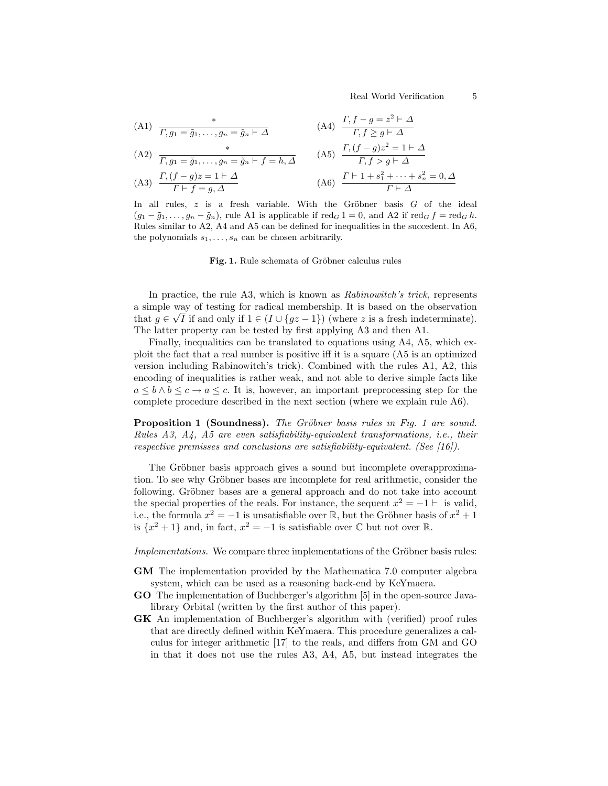Real World Verification 5

(A1) 
$$
\frac{*}{\Gamma, g_1 = \tilde{g}_1, \dots, g_n = \tilde{g}_n \vdash \Delta} \qquad (A4) \frac{\Gamma, f - g = z^2 \vdash \Delta}{\Gamma, f \ge g \vdash \Delta}
$$

(A2) 
$$
\frac{*}{\Gamma, g_1 = \tilde{g}_1, \dots, g_n = \tilde{g}_n \vdash f = h, \Delta}
$$
  
\n(A3) 
$$
\frac{\Gamma, (f - g)z^2 = 1 \vdash \Delta}{\Gamma \vdash f = g, \Delta}
$$
  
\n(A4) 
$$
\frac{\Gamma, (f - g)z = 1 \vdash \Delta}{\Gamma \vdash f = g, \Delta}
$$
  
\n(A5) 
$$
\frac{\Gamma, (f - g)z^2 = 1 \vdash \Delta}{\Gamma, f > g \vdash \Delta}
$$
  
\n(A6) 
$$
\frac{\Gamma \vdash 1 + s_1^2 + \dots + s_n^2 = 0, \Delta}{\Gamma \vdash \Delta}
$$

In all rules,  $z$  is a fresh variable. With the Gröbner basis  $G$  of the ideal  $(g_1 - \tilde{g}_1, \ldots, g_n - \tilde{g}_n)$ , rule A1 is applicable if red<sub>G</sub>  $1 = 0$ , and A2 if red<sub>G</sub>  $f = \text{red}_G h$ . Rules similar to A2, A4 and A5 can be defined for inequalities in the succedent. In A6, the polynomials  $s_1, \ldots, s_n$  can be chosen arbitrarily.

Fig. 1. Rule schemata of Gröbner calculus rules

In practice, the rule A3, which is known as Rabinowitch's trick, represents a simple way of testing for radical membership. It is based on the observation √ that  $g \in \sqrt{I}$  if and only if  $1 \in (I \cup \{gz-1\})$  (where z is a fresh indeterminate). The latter property can be tested by first applying A3 and then A1.

Finally, inequalities can be translated to equations using A4, A5, which exploit the fact that a real number is positive iff it is a square (A5 is an optimized version including Rabinowitch's trick). Combined with the rules A1, A2, this encoding of inequalities is rather weak, and not able to derive simple facts like  $a \leq b \land b \leq c \rightarrow a \leq c$ . It is, however, an important preprocessing step for the complete procedure described in the next section (where we explain rule A6).

Proposition 1 (Soundness). The Gröbner basis rules in Fig. 1 are sound. Rules A3, A4, A5 are even satisfiability-equivalent transformations, i.e., their respective premisses and conclusions are satisfiability-equivalent. (See [16]).

The Gröbner basis approach gives a sound but incomplete overapproximation. To see why Gröbner bases are incomplete for real arithmetic, consider the following. Gröbner bases are a general approach and do not take into account the special properties of the reals. For instance, the sequent  $x^2 = -1$   $\vdash$  is valid, i.e., the formula  $x^2 = -1$  is unsatisfiable over R, but the Gröbner basis of  $x^2 + 1$ is  $\{x^2+1\}$  and, in fact,  $x^2=-1$  is satisfiable over  $\mathbb C$  but not over  $\mathbb R$ .

Implementations. We compare three implementations of the Gröbner basis rules:

- GM The implementation provided by the Mathematica 7.0 computer algebra system, which can be used as a reasoning back-end by KeYmaera.
- GO The implementation of Buchberger's algorithm [5] in the open-source Javalibrary Orbital (written by the first author of this paper).
- GK An implementation of Buchberger's algorithm with (verified) proof rules that are directly defined within KeYmaera. This procedure generalizes a calculus for integer arithmetic [17] to the reals, and differs from GM and GO in that it does not use the rules A3, A4, A5, but instead integrates the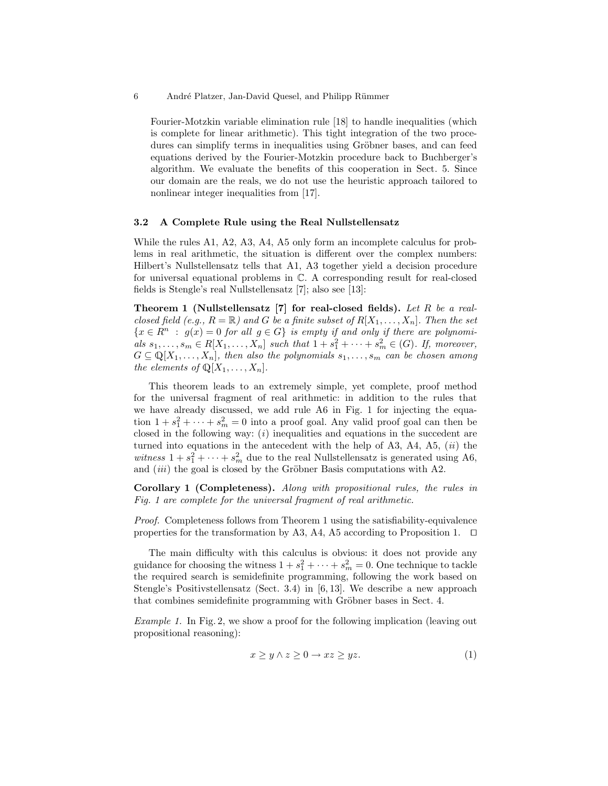Fourier-Motzkin variable elimination rule [18] to handle inequalities (which is complete for linear arithmetic). This tight integration of the two procedures can simplify terms in inequalities using Gröbner bases, and can feed equations derived by the Fourier-Motzkin procedure back to Buchberger's algorithm. We evaluate the benefits of this cooperation in Sect. 5. Since our domain are the reals, we do not use the heuristic approach tailored to nonlinear integer inequalities from [17].

### 3.2 A Complete Rule using the Real Nullstellensatz

While the rules A1, A2, A3, A4, A5 only form an incomplete calculus for problems in real arithmetic, the situation is different over the complex numbers: Hilbert's Nullstellensatz tells that A1, A3 together yield a decision procedure for universal equational problems in C. A corresponding result for real-closed fields is Stengle's real Nullstellensatz [7]; also see [13]:

Theorem 1 (Nullstellensatz  $[7]$  for real-closed fields). Let R be a realclosed field (e.g.,  $R = \mathbb{R}$ ) and G be a finite subset of  $R[X_1, \ldots, X_n]$ . Then the set  ${x \in R^n : g(x) = 0 \text{ for all } g \in G}$  is empty if and only if there are polynomials  $s_1, ..., s_m \in R[X_1, ..., X_n]$  such that  $1 + s_1^2 + ... + s_m^2 \in (G)$ . If, moreover,  $G \subseteq \mathbb{Q}[X_1, \ldots, X_n]$ , then also the polynomials  $s_1, \ldots, s_m$  can be chosen among the elements of  $\mathbb{Q}[X_1, \ldots, X_n]$ .

This theorem leads to an extremely simple, yet complete, proof method for the universal fragment of real arithmetic: in addition to the rules that we have already discussed, we add rule A6 in Fig. 1 for injecting the equation  $1 + s_1^2 + \cdots + s_m^2 = 0$  into a proof goal. Any valid proof goal can then be closed in the following way:  $(i)$  inequalities and equations in the succedent are turned into equations in the antecedent with the help of A3, A4, A5,  $(ii)$  the *witness*  $1 + s_1^2 + \cdots + s_m^2$  due to the real Nullstellensatz is generated using A6, and  $(iii)$  the goal is closed by the Gröbner Basis computations with A2.

Corollary 1 (Completeness). Along with propositional rules, the rules in Fig. 1 are complete for the universal fragment of real arithmetic.

Proof. Completeness follows from Theorem 1 using the satisfiability-equivalence properties for the transformation by A3, A4, A5 according to Proposition 1.  $\Box$ 

The main difficulty with this calculus is obvious: it does not provide any guidance for choosing the witness  $1 + s_1^2 + \cdots + s_m^2 = 0$ . One technique to tackle the required search is semidefinite programming, following the work based on Stengle's Positivstellensatz (Sect. 3.4) in [6, 13]. We describe a new approach that combines semidefinite programming with Gröbner bases in Sect. 4.

Example 1. In Fig. 2, we show a proof for the following implication (leaving out propositional reasoning):

$$
x \ge y \land z \ge 0 \to xz \ge yz. \tag{1}
$$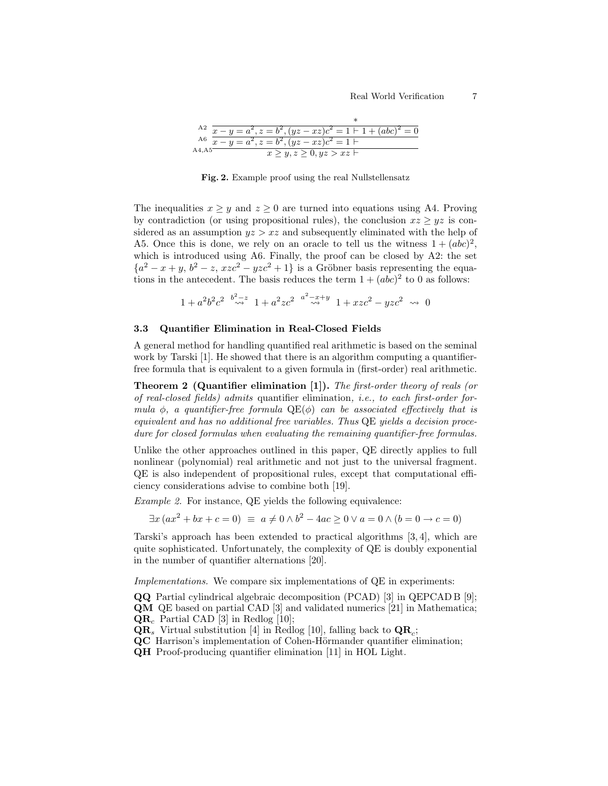|        | A2 $\overline{x-y} = a^2, z = b^2, (yz-xz)c^2 = 1+1+(abc)^2 = 0$ |
|--------|------------------------------------------------------------------|
|        | A6 $x - y = a^2, z = b^2, (yz - xz)c^2 = 1$                      |
| A4, A5 | $x \geq y, z \geq 0, yz > xz$                                    |

Fig. 2. Example proof using the real Nullstellensatz

The inequalities  $x \geq y$  and  $z \geq 0$  are turned into equations using A4. Proving by contradiction (or using propositional rules), the conclusion  $xz \geq yz$  is considered as an assumption  $yz > xz$  and subsequently eliminated with the help of A5. Once this is done, we rely on an oracle to tell us the witness  $1 + (abc)^2$ , which is introduced using A6. Finally, the proof can be closed by A2: the set  ${a<sup>2</sup> - x + y, b<sup>2</sup> - z, xzc<sup>2</sup> - yzc<sup>2</sup> + 1}$  is a Gröbner basis representing the equations in the antecedent. The basis reduces the term  $1 + (abc)^2$  to 0 as follows:

$$
1 + a^2b^2c^2 \stackrel{b^2-z}{\leadsto} 1 + a^2zc^2 \stackrel{a^2-x+y}{\leadsto} 1 + xzc^2 - yzc^2 \leadsto 0
$$

### 3.3 Quantifier Elimination in Real-Closed Fields

A general method for handling quantified real arithmetic is based on the seminal work by Tarski [1]. He showed that there is an algorithm computing a quantifierfree formula that is equivalent to a given formula in (first-order) real arithmetic.

Theorem 2 (Quantifier elimination [1]). The first-order theory of reals (or of real-closed fields) admits quantifier elimination, i.e., to each first-order formula  $\phi$ , a quantifier-free formula  $\text{QE}(\phi)$  can be associated effectively that is equivalent and has no additional free variables. Thus QE yields a decision procedure for closed formulas when evaluating the remaining quantifier-free formulas.

Unlike the other approaches outlined in this paper, QE directly applies to full nonlinear (polynomial) real arithmetic and not just to the universal fragment. QE is also independent of propositional rules, except that computational efficiency considerations advise to combine both [19].

Example 2. For instance, QE yields the following equivalence:

 $\exists x (ax^2 + bx + c = 0) \equiv a \neq 0 \wedge b^2 - 4ac \geq 0 \vee a = 0 \wedge (b = 0 \rightarrow c = 0)$ 

Tarski's approach has been extended to practical algorithms [3, 4], which are quite sophisticated. Unfortunately, the complexity of QE is doubly exponential in the number of quantifier alternations [20].

Implementations. We compare six implementations of QE in experiments:

QQ Partial cylindrical algebraic decomposition (PCAD) [3] in QEPCAD B [9]; QM QE based on partial CAD [3] and validated numerics [21] in Mathematica;  $QR_c$  Partial CAD [3] in Redlog [10];

 $QR_s$  Virtual substitution [4] in Redlog [10], falling back to  $QR_c$ ;

**QC** Harrison's implementation of Cohen-Hörmander quantifier elimination;

QH Proof-producing quantifier elimination [11] in HOL Light.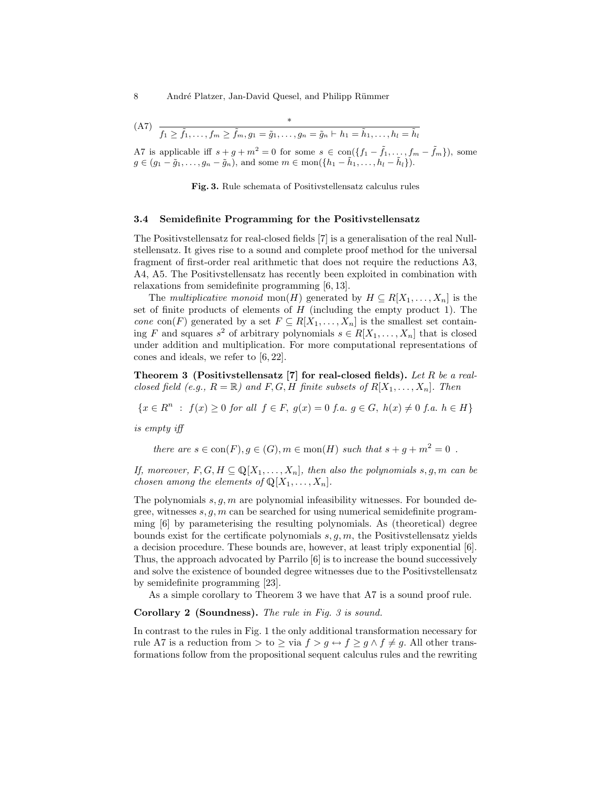$$
(A7) \quad \frac{*}{f_1 \geq \tilde{f}_1, \dots, f_m \geq \tilde{f}_m, g_1 = \tilde{g}_1, \dots, g_n = \tilde{g}_n \vdash h_1 = \tilde{h}_1, \dots, h_l = \tilde{h}_l}
$$

A7 is applicable iff  $s + g + m^2 = 0$  for some  $s \in \text{con}(\lbrace f_1 - \overline{f}_1, \ldots, f_m - \overline{f}_m \rbrace)$ , some  $g \in (g_1 - \tilde{g}_1, \ldots, g_n - \tilde{g}_n)$ , and some  $m \in \text{mon}(\lbrace h_1 - \tilde{h}_1, \ldots, h_l - \tilde{h}_l \rbrace)$ .

Fig. 3. Rule schemata of Positivstellensatz calculus rules

#### 3.4 Semidefinite Programming for the Positivstellensatz

The Positivstellensatz for real-closed fields [7] is a generalisation of the real Nullstellensatz. It gives rise to a sound and complete proof method for the universal fragment of first-order real arithmetic that does not require the reductions A3, A4, A5. The Positivstellensatz has recently been exploited in combination with relaxations from semidefinite programming [6, 13].

The multiplicative monoid mon $(H)$  generated by  $H \subseteq R[X_1, \ldots, X_n]$  is the set of finite products of elements of  $H$  (including the empty product 1). The cone con(F) generated by a set  $F \subseteq R[X_1, \ldots, X_n]$  is the smallest set containing F and squares  $s^2$  of arbitrary polynomials  $s \in R[X_1, \ldots, X_n]$  that is closed under addition and multiplication. For more computational representations of cones and ideals, we refer to [6, 22].

Theorem 3 (Positivstellensatz [7] for real-closed fields). Let R be a realclosed field (e.g.,  $R = \mathbb{R}$ ) and  $F, G, H$  finite subsets of  $R[X_1, \ldots, X_n]$ . Then

 ${x \in R^n : f(x) \geq 0 \text{ for all } f \in F, g(x) = 0 \text{ f.a. } g \in G, h(x) \neq 0 \text{ f.a. } h \in H}$ 

is empty iff

there are  $s \in \text{con}(F)$ ,  $g \in (G)$ ,  $m \in \text{mon}(H)$  such that  $s + g + m^2 = 0$ .

If, moreover,  $F, G, H \subseteq \mathbb{Q}[X_1, \ldots, X_n]$ , then also the polynomials s, g, m can be chosen among the elements of  $\mathbb{Q}[X_1, \ldots, X_n]$ .

The polynomials  $s, g, m$  are polynomial infeasibility witnesses. For bounded degree, witnesses  $s, g, m$  can be searched for using numerical semidefinite programming [6] by parameterising the resulting polynomials. As (theoretical) degree bounds exist for the certificate polynomials  $s, g, m$ , the Positivstellensatz yields a decision procedure. These bounds are, however, at least triply exponential [6]. Thus, the approach advocated by Parrilo [6] is to increase the bound successively and solve the existence of bounded degree witnesses due to the Positivstellensatz by semidefinite programming [23].

As a simple corollary to Theorem 3 we have that A7 is a sound proof rule.

Corollary 2 (Soundness). The rule in Fig. 3 is sound.

In contrast to the rules in Fig. 1 the only additional transformation necessary for rule A7 is a reduction from > to  $\geq$  via  $f > g \leftrightarrow f \geq g \land f \neq g$ . All other transformations follow from the propositional sequent calculus rules and the rewriting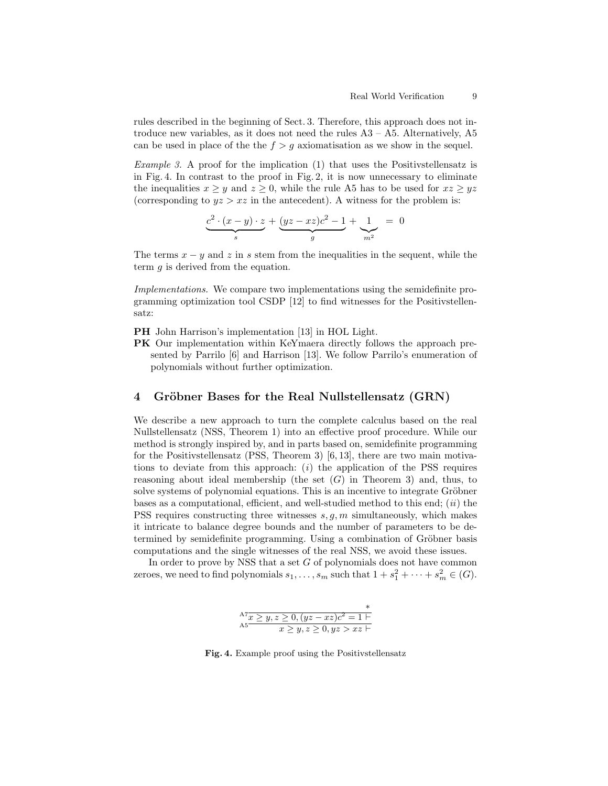rules described in the beginning of Sect. 3. Therefore, this approach does not introduce new variables, as it does not need the rules  $A3 - A5$ . Alternatively,  $A5$ can be used in place of the the  $f > g$  axiomatisation as we show in the sequel.

Example 3. A proof for the implication (1) that uses the Positivstellensatz is in Fig. 4. In contrast to the proof in Fig. 2, it is now unnecessary to eliminate the inequalities  $x \geq y$  and  $z \geq 0$ , while the rule A5 has to be used for  $xz \geq yz$ (corresponding to  $yz > xz$  in the antecedent). A witness for the problem is:

$$
\underbrace{c^2 \cdot (x-y) \cdot z}_{s} + \underbrace{(yz-xz)c^2 - 1}_{g} + \underbrace{1}_{m^2} = 0
$$

The terms  $x - y$  and z in s stem from the inequalities in the sequent, while the term  $q$  is derived from the equation.

Implementations. We compare two implementations using the semidefinite programming optimization tool CSDP [12] to find witnesses for the Positivstellensatz:

PH John Harrison's implementation [13] in HOL Light.

PK Our implementation within KeYmaera directly follows the approach presented by Parrilo [6] and Harrison [13]. We follow Parrilo's enumeration of polynomials without further optimization.

### 4 Gröbner Bases for the Real Nullstellensatz (GRN)

We describe a new approach to turn the complete calculus based on the real Nullstellensatz (NSS, Theorem 1) into an effective proof procedure. While our method is strongly inspired by, and in parts based on, semidefinite programming for the Positivstellensatz (PSS, Theorem 3) [6, 13], there are two main motivations to deviate from this approach:  $(i)$  the application of the PSS requires reasoning about ideal membership (the set  $(G)$  in Theorem 3) and, thus, to solve systems of polynomial equations. This is an incentive to integrate Gröbner bases as a computational, efficient, and well-studied method to this end;  $(ii)$  the PSS requires constructing three witnesses  $s, g, m$  simultaneously, which makes it intricate to balance degree bounds and the number of parameters to be determined by semidefinite programming. Using a combination of Gröbner basis computations and the single witnesses of the real NSS, we avoid these issues.

In order to prove by NSS that a set  $G$  of polynomials does not have common zeroes, we need to find polynomials  $s_1, \ldots, s_m$  such that  $1 + s_1^2 + \cdots + s_m^2 \in (G)$ .

| $A^7 x \ge y, z \ge 0, (yz - xz)c^2 = 1$ |  |
|------------------------------------------|--|
| $x \geq y, z \geq 0, yz > xz$            |  |

Fig. 4. Example proof using the Positivstellensatz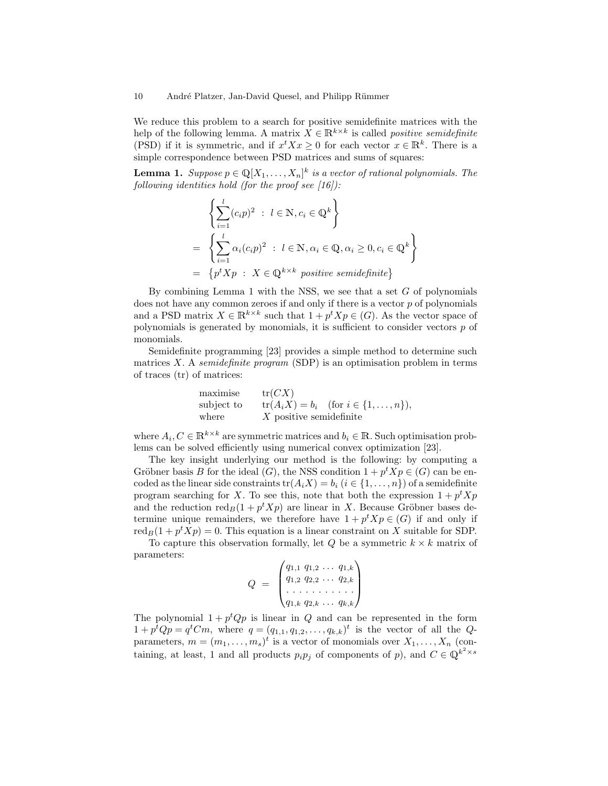We reduce this problem to a search for positive semidefinite matrices with the help of the following lemma. A matrix  $X \in \mathbb{R}^{k \times k}$  is called *positive semidefinite* (PSD) if it is symmetric, and if  $x^t X x \geq 0$  for each vector  $x \in \mathbb{R}^k$ . There is a simple correspondence between PSD matrices and sums of squares:

**Lemma 1.** Suppose  $p \in \mathbb{Q}[X_1, \ldots, X_n]^k$  is a vector of rational polynomials. The following identities hold (for the proof see  $(16)$ ):

$$
\left\{\sum_{i=1}^{l} (c_i p)^2 : l \in \mathbb{N}, c_i \in \mathbb{Q}^k\right\}
$$
  
= 
$$
\left\{\sum_{i=1}^{l} \alpha_i (c_i p)^2 : l \in \mathbb{N}, \alpha_i \in \mathbb{Q}, \alpha_i \geq 0, c_i \in \mathbb{Q}^k\right\}
$$
  
= 
$$
\left\{p^t X p : X \in \mathbb{Q}^{k \times k} \text{ positive semidefinite}\right\}
$$

By combining Lemma 1 with the NSS, we see that a set  $G$  of polynomials does not have any common zeroes if and only if there is a vector  $p$  of polynomials and a PSD matrix  $X \in \mathbb{R}^{k \times k}$  such that  $1 + p^t X p \in (G)$ . As the vector space of polynomials is generated by monomials, it is sufficient to consider vectors  $p$  of monomials.

Semidefinite programming [23] provides a simple method to determine such matrices X. A semidefinite program (SDP) is an optimisation problem in terms of traces (tr) of matrices:

| maximise   | tr(CX)                                       |
|------------|----------------------------------------------|
| subject to | $tr(A_i X) = b_i$ (for $i \in \{1, , n\}$ ), |
| where      | $X$ positive semidefinite                    |

where  $A_i, C \in \mathbb{R}^{k \times k}$  are symmetric matrices and  $b_i \in \mathbb{R}$ . Such optimisation problems can be solved efficiently using numerical convex optimization [23].

The key insight underlying our method is the following: by computing a Gröbner basis B for the ideal  $(G)$ , the NSS condition  $1 + p^t X p \in G$  can be encoded as the linear side constraints  $tr(A_iX) = b_i$   $(i \in \{1, ..., n\})$  of a semidefinite program searching for X. To see this, note that both the expression  $1 + p^t X p$ and the reduction  $\text{red}_B(1 + p^t X p)$  are linear in X. Because Gröbner bases determine unique remainders, we therefore have  $1 + p^t X p \in (G)$  if and only if red<sub>B</sub> $(1 + p^t X p) = 0$ . This equation is a linear constraint on X suitable for SDP.

To capture this observation formally, let  $Q$  be a symmetric  $k \times k$  matrix of parameters:

$$
Q = \begin{pmatrix} q_{1,1} & q_{1,2} & \dots & q_{1,k} \\ q_{1,2} & q_{2,2} & \dots & q_{2,k} \\ \dots & \dots & \dots & \dots \\ q_{1,k} & q_{2,k} & \dots & q_{k,k} \end{pmatrix}
$$

The polynomial  $1 + p^t Q p$  is linear in Q and can be represented in the form  $1 + p^t Q p = q^t C m$ , where  $q = (q_{1,1}, q_{1,2}, \ldots, q_{k,k})^t$  is the vector of all the Qparameters,  $m = (m_1, \ldots, m_s)^t$  is a vector of monomials over  $X_1, \ldots, X_n$  (containing, at least, 1 and all products  $p_i p_j$  of components of p), and  $C \in \mathbb{Q}^{k^2 \times s}$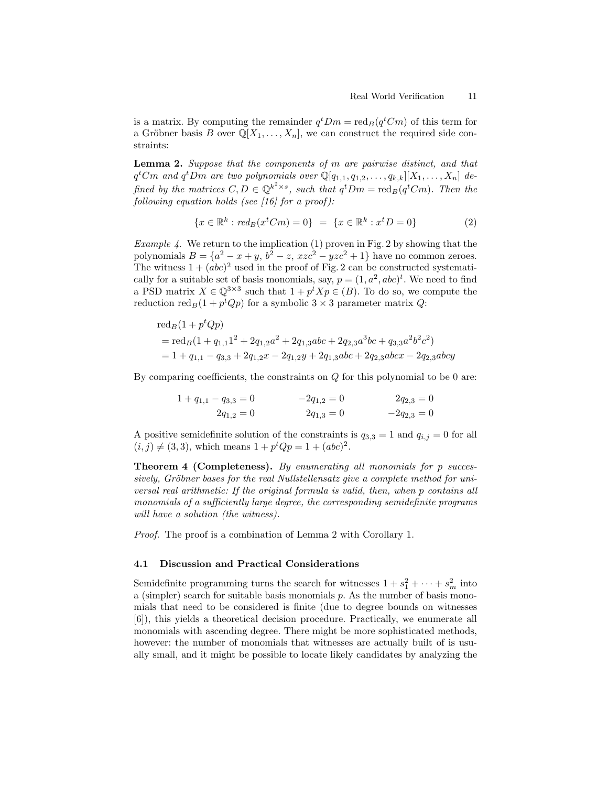is a matrix. By computing the remainder  $q^t D m = \text{red}_B(q^t C m)$  of this term for a Gröbner basis B over  $\mathbb{Q}[X_1,\ldots,X_n]$ , we can construct the required side constraints:

**Lemma 2.** Suppose that the components of  $m$  are pairwise distinct, and that  $q^tCm$  and  $q^tDm$  are two polynomials over  $\mathbb{Q}[q_{1,1}, q_{1,2}, \ldots, q_{k,k}][X_1, \ldots, X_n]$  defined by the matrices  $C, D \in \mathbb{Q}^{k^2 \times s}$ , such that  $q^t Dm = \text{red}_B(q^t Cm)$ . Then the following equation holds (see  $[16]$  for a proof):

$$
\{x \in \mathbb{R}^k : red_B(x^t C m) = 0\} = \{x \in \mathbb{R}^k : x^t D = 0\}
$$
 (2)

*Example 4.* We return to the implication  $(1)$  proven in Fig. 2 by showing that the polynomials  $B = \{a^2 - x + y, b^2 - z, xzc^2 - yzc^2 + 1\}$  have no common zeroes. The witness  $1 + (abc)^2$  used in the proof of Fig. 2 can be constructed systematically for a suitable set of basis monomials, say,  $p = (1, a^2, abc)^t$ . We need to find a PSD matrix  $X \in \mathbb{Q}^{3 \times 3}$  such that  $1 + p^t X p \in (B)$ . To do so, we compute the reduction  $\text{red}_B(1 + p^t Q p)$  for a symbolic  $3 \times 3$  parameter matrix  $Q$ :

$$
red_B(1 + ptQp)
$$
  
= red\_B(1 + q<sub>1,1</sub>1<sup>2</sup> + 2q<sub>1,2</sub>a<sup>2</sup> + 2q<sub>1,3</sub>abc + 2q<sub>2,3</sub>a<sup>3</sup>bc + q<sub>3,3</sub>a<sup>2</sup>b<sup>2</sup>c<sup>2</sup>)  
= 1 + q<sub>1,1</sub> - q<sub>3,3</sub> + 2q<sub>1,2</sub>x - 2q<sub>1,2</sub>y + 2q<sub>1,3</sub>abc + 2q<sub>2,3</sub>abcx - 2q<sub>2,3</sub>abcy

By comparing coefficients, the constraints on  $Q$  for this polynomial to be 0 are:

$$
1 + q_{1,1} - q_{3,3} = 0
$$
  
\n
$$
2q_{1,2} = 0
$$
  
\n
$$
2q_{1,3} = 0
$$
  
\n
$$
2q_{2,3} = 0
$$
  
\n
$$
2q_{2,3} = 0
$$
  
\n
$$
2q_{2,3} = 0
$$

A positive semidefinite solution of the constraints is  $q_{3,3} = 1$  and  $q_{i,j} = 0$  for all  $(i, j) \neq (3, 3)$ , which means  $1 + p^t Q p = 1 + (abc)^2$ .

Theorem 4 (Completeness). By enumerating all monomials for p successively, Gröbner bases for the real Nullstellensatz give a complete method for universal real arithmetic: If the original formula is valid, then, when p contains all monomials of a sufficiently large degree, the corresponding semidefinite programs will have a solution (the witness).

Proof. The proof is a combination of Lemma 2 with Corollary 1.

### 4.1 Discussion and Practical Considerations

Semidefinite programming turns the search for witnesses  $1 + s_1^2 + \cdots + s_m^2$  into a (simpler) search for suitable basis monomials  $p$ . As the number of basis monomials that need to be considered is finite (due to degree bounds on witnesses [6]), this yields a theoretical decision procedure. Practically, we enumerate all monomials with ascending degree. There might be more sophisticated methods, however: the number of monomials that witnesses are actually built of is usually small, and it might be possible to locate likely candidates by analyzing the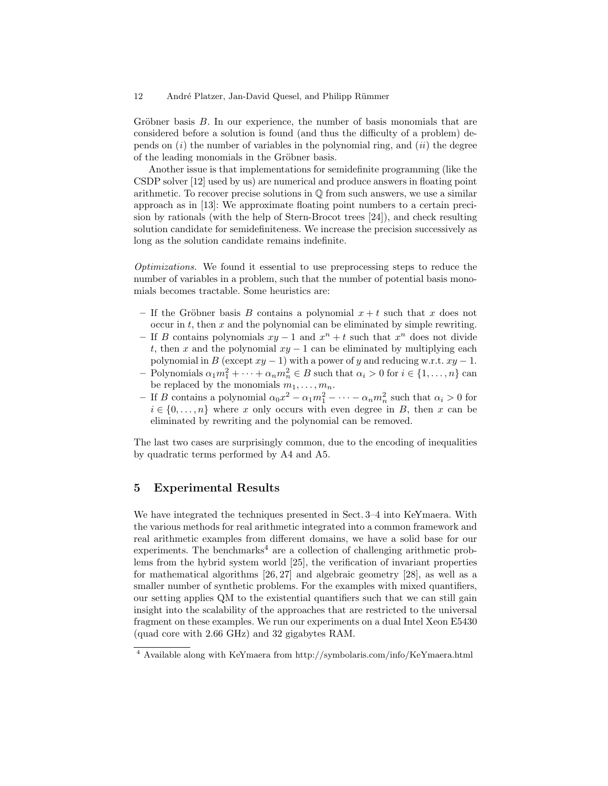Gröbner basis  $B$ . In our experience, the number of basis monomials that are considered before a solution is found (and thus the difficulty of a problem) depends on  $(i)$  the number of variables in the polynomial ring, and  $(ii)$  the degree of the leading monomials in the Gröbner basis.

Another issue is that implementations for semidefinite programming (like the CSDP solver [12] used by us) are numerical and produce answers in floating point arithmetic. To recover precise solutions in  $\mathbb Q$  from such answers, we use a similar approach as in [13]: We approximate floating point numbers to a certain precision by rationals (with the help of Stern-Brocot trees [24]), and check resulting solution candidate for semidefiniteness. We increase the precision successively as long as the solution candidate remains indefinite.

Optimizations. We found it essential to use preprocessing steps to reduce the number of variables in a problem, such that the number of potential basis monomials becomes tractable. Some heuristics are:

- If the Gröbner basis B contains a polynomial  $x + t$  such that x does not occur in  $t$ , then  $x$  and the polynomial can be eliminated by simple rewriting.
- If B contains polynomials  $xy 1$  and  $x^n + t$  such that  $x^n$  does not divide t, then x and the polynomial  $xy - 1$  can be eliminated by multiplying each polynomial in B (except  $xy - 1$ ) with a power of y and reducing w.r.t.  $xy - 1$ .
- Polynomials  $\alpha_1 m_1^2 + \cdots + \alpha_n m_n^2 \in B$  such that  $\alpha_i > 0$  for  $i \in \{1, \ldots, n\}$  can be replaced by the monomials  $m_1, \ldots, m_n$ .
- If B contains a polynomial  $\alpha_0 x^2 \alpha_1 m_1^2 \cdots \alpha_n m_n^2$  such that  $\alpha_i > 0$  for  $i \in \{0, \ldots, n\}$  where x only occurs with even degree in B, then x can be eliminated by rewriting and the polynomial can be removed.

The last two cases are surprisingly common, due to the encoding of inequalities by quadratic terms performed by A4 and A5.

## 5 Experimental Results

We have integrated the techniques presented in Sect. 3–4 into KeYmaera. With the various methods for real arithmetic integrated into a common framework and real arithmetic examples from different domains, we have a solid base for our  $experiments.$  The benchmarks<sup>4</sup> are a collection of challenging arithmetic problems from the hybrid system world [25], the verification of invariant properties for mathematical algorithms [26, 27] and algebraic geometry [28], as well as a smaller number of synthetic problems. For the examples with mixed quantifiers, our setting applies QM to the existential quantifiers such that we can still gain insight into the scalability of the approaches that are restricted to the universal fragment on these examples. We run our experiments on a dual Intel Xeon E5430 (quad core with 2.66 GHz) and 32 gigabytes RAM.

<sup>4</sup> Available along with KeYmaera from http://symbolaris.com/info/KeYmaera.html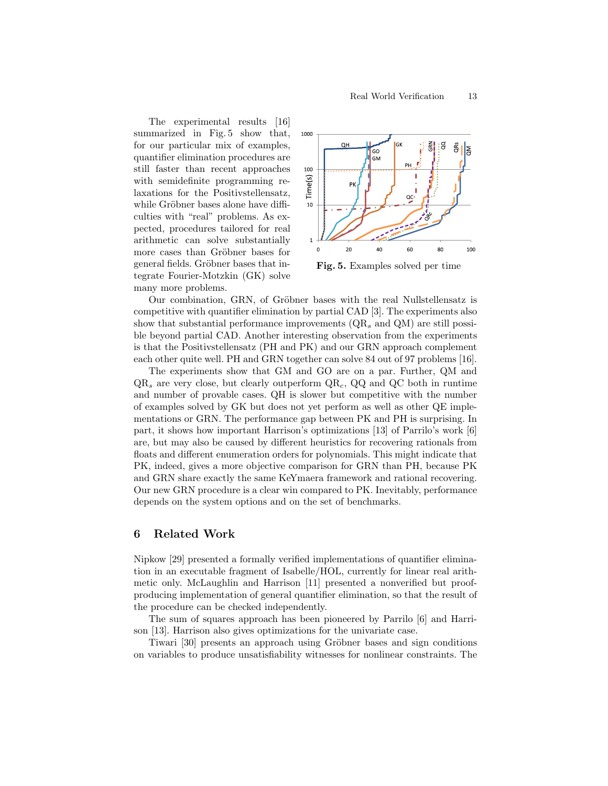The experimental results [16] summarized in Fig. 5 show that, for our particular mix of examples, quantifier elimination procedures are still faster than recent approaches with semidefinite programming relaxations for the Positivstellensatz, while Gröbner bases alone have difficulties with "real" problems. As expected, procedures tailored for real arithmetic can solve substantially more cases than Gröbner bases for general fields. Gröbner bases that integrate Fourier-Motzkin (GK) solve many more problems.



Fig. 5. Examples solved per time

Our combination, GRN, of Gröbner bases with the real Nullstellensatz is competitive with quantifier elimination by partial CAD [3]. The experiments also show that substantial performance improvements  $(QR_s \text{ and } QM)$  are still possible beyond partial CAD. Another interesting observation from the experiments is that the Positivstellensatz (PH and PK) and our GRN approach complement each other quite well. PH and GRN together can solve 84 out of 97 problems [16].

The experiments show that GM and GO are on a par. Further, QM and  $QR<sub>s</sub>$  are very close, but clearly outperform  $QR<sub>c</sub>$ ,  $QQ$  and  $QC$  both in runtime and number of provable cases. QH is slower but competitive with the number of examples solved by GK but does not yet perform as well as other QE implementations or GRN. The performance gap between PK and PH is surprising. In part, it shows how important Harrison's optimizations [13] of Parrilo's work [6] are, but may also be caused by different heuristics for recovering rationals from floats and different enumeration orders for polynomials. This might indicate that PK, indeed, gives a more objective comparison for GRN than PH, because PK and GRN share exactly the same KeYmaera framework and rational recovering. Our new GRN procedure is a clear win compared to PK. Inevitably, performance depends on the system options and on the set of benchmarks.

## 6 Related Work

Nipkow [29] presented a formally verified implementations of quantifier elimination in an executable fragment of Isabelle/HOL, currently for linear real arithmetic only. McLaughlin and Harrison [11] presented a nonverified but proofproducing implementation of general quantifier elimination, so that the result of the procedure can be checked independently.

The sum of squares approach has been pioneered by Parrilo [6] and Harrison [13]. Harrison also gives optimizations for the univariate case.

Tiwari [30] presents an approach using Gröbner bases and sign conditions on variables to produce unsatisfiability witnesses for nonlinear constraints. The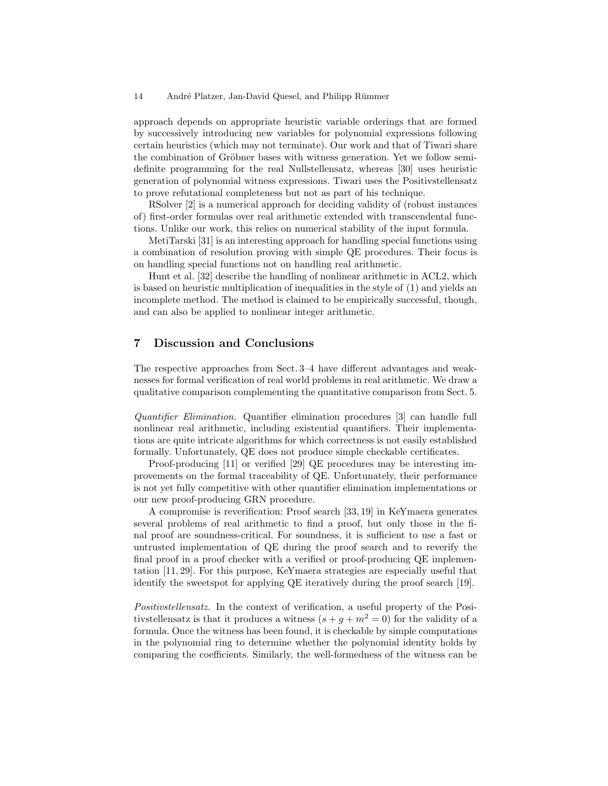approach depends on appropriate heuristic variable orderings that are formed by successively introducing new variables for polynomial expressions following certain heuristics (which may not terminate). Our work and that of Tiwari share the combination of Gröbner bases with witness generation. Yet we follow semidefinite programming for the real Nullstellensatz, whereas [30] uses heuristic generation of polynomial witness expressions. Tiwari uses the Positivstellensatz to prove refutational completeness but not as part of his technique.

RSolver [2] is a numerical approach for deciding validity of (robust instances of) first-order formulas over real arithmetic extended with transcendental functions. Unlike our work, this relies on numerical stability of the input formula.

MetiTarski [31] is an interesting approach for handling special functions using a combination of resolution proving with simple QE procedures. Their focus is on handling special functions not on handling real arithmetic.

Hunt et al. [32] describe the handling of nonlinear arithmetic in ACL2, which is based on heuristic multiplication of inequalities in the style of (1) and yields an incomplete method. The method is claimed to be empirically successful, though, and can also be applied to nonlinear integer arithmetic.

## 7 Discussion and Conclusions

The respective approaches from Sect. 3–4 have different advantages and weaknesses for formal verification of real world problems in real arithmetic. We draw a qualitative comparison complementing the quantitative comparison from Sect. 5.

Quantifier Elimination. Quantifier elimination procedures [3] can handle full nonlinear real arithmetic, including existential quantifiers. Their implementations are quite intricate algorithms for which correctness is not easily established formally. Unfortunately, QE does not produce simple checkable certificates.

Proof-producing [11] or verified [29] QE procedures may be interesting improvements on the formal traceability of QE. Unfortunately, their performance is not yet fully competitive with other quantifier elimination implementations or our new proof-producing GRN procedure.

A compromise is reverification: Proof search [33, 19] in KeYmaera generates several problems of real arithmetic to find a proof, but only those in the final proof are soundness-critical. For soundness, it is sufficient to use a fast or untrusted implementation of QE during the proof search and to reverify the final proof in a proof checker with a verified or proof-producing QE implementation [11, 29]. For this purpose, KeYmaera strategies are especially useful that identify the sweetspot for applying QE iteratively during the proof search [19].

Positivstellensatz. In the context of verification, a useful property of the Positivstellensatz is that it produces a witness  $(s + g + m^2 = 0)$  for the validity of a formula. Once the witness has been found, it is checkable by simple computations in the polynomial ring to determine whether the polynomial identity holds by comparing the coefficients. Similarly, the well-formedness of the witness can be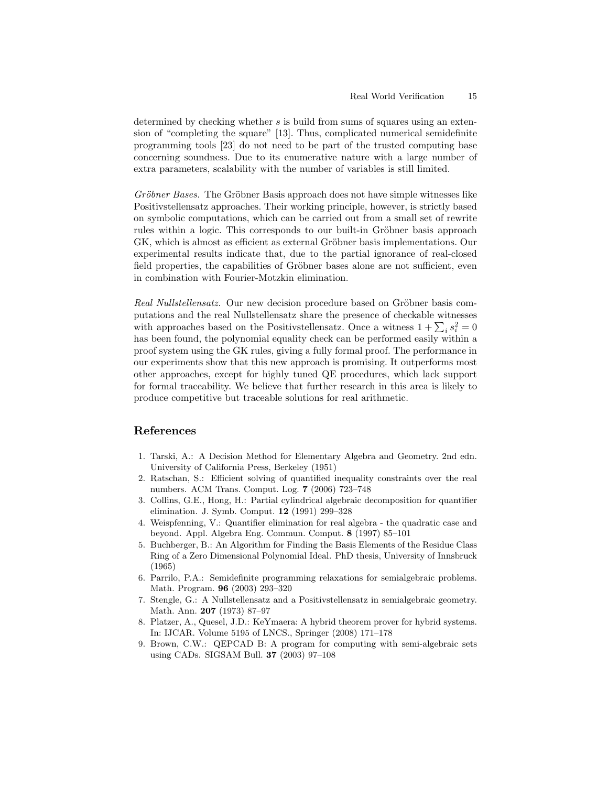determined by checking whether s is build from sums of squares using an extension of "completing the square" [13]. Thus, complicated numerical semidefinite programming tools [23] do not need to be part of the trusted computing base concerning soundness. Due to its enumerative nature with a large number of extra parameters, scalability with the number of variables is still limited.

Gröbner Bases. The Gröbner Basis approach does not have simple witnesses like Positivstellensatz approaches. Their working principle, however, is strictly based on symbolic computations, which can be carried out from a small set of rewrite rules within a logic. This corresponds to our built-in Gröbner basis approach GK, which is almost as efficient as external Gröbner basis implementations. Our experimental results indicate that, due to the partial ignorance of real-closed field properties, the capabilities of Gröbner bases alone are not sufficient, even in combination with Fourier-Motzkin elimination.

Real Nullstellensatz. Our new decision procedure based on Gröbner basis computations and the real Nullstellensatz share the presence of checkable witnesses with approaches based on the Positivstellensatz. Once a witness  $1 + \sum_i s_i^2 = 0$ has been found, the polynomial equality check can be performed easily within a proof system using the GK rules, giving a fully formal proof. The performance in our experiments show that this new approach is promising. It outperforms most other approaches, except for highly tuned QE procedures, which lack support for formal traceability. We believe that further research in this area is likely to produce competitive but traceable solutions for real arithmetic.

## References

- 1. Tarski, A.: A Decision Method for Elementary Algebra and Geometry. 2nd edn. University of California Press, Berkeley (1951)
- 2. Ratschan, S.: Efficient solving of quantified inequality constraints over the real numbers. ACM Trans. Comput. Log. 7 (2006) 723–748
- 3. Collins, G.E., Hong, H.: Partial cylindrical algebraic decomposition for quantifier elimination. J. Symb. Comput. 12 (1991) 299–328
- 4. Weispfenning, V.: Quantifier elimination for real algebra the quadratic case and beyond. Appl. Algebra Eng. Commun. Comput. 8 (1997) 85–101
- 5. Buchberger, B.: An Algorithm for Finding the Basis Elements of the Residue Class Ring of a Zero Dimensional Polynomial Ideal. PhD thesis, University of Innsbruck (1965)
- 6. Parrilo, P.A.: Semidefinite programming relaxations for semialgebraic problems. Math. Program. 96 (2003) 293–320
- 7. Stengle, G.: A Nullstellensatz and a Positivstellensatz in semialgebraic geometry. Math. Ann. 207 (1973) 87–97
- 8. Platzer, A., Quesel, J.D.: KeYmaera: A hybrid theorem prover for hybrid systems. In: IJCAR. Volume 5195 of LNCS., Springer (2008) 171–178
- 9. Brown, C.W.: QEPCAD B: A program for computing with semi-algebraic sets using CADs. SIGSAM Bull. 37 (2003) 97–108